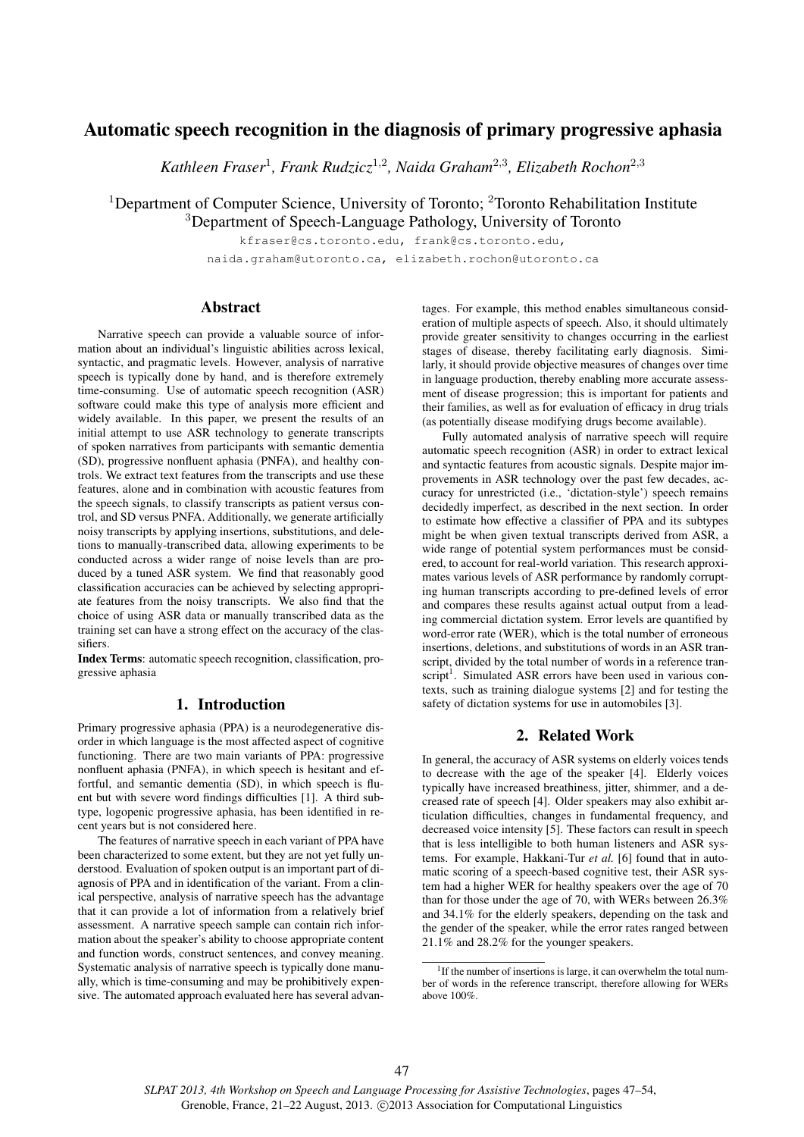# Automatic speech recognition in the diagnosis of primary progressive aphasia

*Kathleen Fraser*<sup>1</sup> *, Frank Rudzicz*<sup>1</sup>,<sup>2</sup> *, Naida Graham*<sup>2</sup>,<sup>3</sup> *, Elizabeth Rochon*<sup>2</sup>,<sup>3</sup>

<sup>1</sup>Department of Computer Science, University of Toronto; <sup>2</sup>Toronto Rehabilitation Institute <sup>3</sup>Department of Speech-Language Pathology, University of Toronto

> kfraser@cs.toronto.edu, frank@cs.toronto.edu, naida.graham@utoronto.ca, elizabeth.rochon@utoronto.ca

# **Abstract**

Narrative speech can provide a valuable source of information about an individual's linguistic abilities across lexical, syntactic, and pragmatic levels. However, analysis of narrative speech is typically done by hand, and is therefore extremely time-consuming. Use of automatic speech recognition (ASR) software could make this type of analysis more efficient and widely available. In this paper, we present the results of an initial attempt to use ASR technology to generate transcripts of spoken narratives from participants with semantic dementia (SD), progressive nonfluent aphasia (PNFA), and healthy controls. We extract text features from the transcripts and use these features, alone and in combination with acoustic features from the speech signals, to classify transcripts as patient versus control, and SD versus PNFA. Additionally, we generate artificially noisy transcripts by applying insertions, substitutions, and deletions to manually-transcribed data, allowing experiments to be conducted across a wider range of noise levels than are produced by a tuned ASR system. We find that reasonably good classification accuracies can be achieved by selecting appropriate features from the noisy transcripts. We also find that the choice of using ASR data or manually transcribed data as the training set can have a strong effect on the accuracy of the classifiers.

Index Terms: automatic speech recognition, classification, progressive aphasia

# 1. Introduction

Primary progressive aphasia (PPA) is a neurodegenerative disorder in which language is the most affected aspect of cognitive functioning. There are two main variants of PPA: progressive nonfluent aphasia (PNFA), in which speech is hesitant and effortful, and semantic dementia (SD), in which speech is fluent but with severe word findings difficulties [1]. A third subtype, logopenic progressive aphasia, has been identified in recent years but is not considered here.

The features of narrative speech in each variant of PPA have been characterized to some extent, but they are not yet fully understood. Evaluation of spoken output is an important part of diagnosis of PPA and in identification of the variant. From a clinical perspective, analysis of narrative speech has the advantage that it can provide a lot of information from a relatively brief assessment. A narrative speech sample can contain rich information about the speaker's ability to choose appropriate content and function words, construct sentences, and convey meaning. Systematic analysis of narrative speech is typically done manually, which is time-consuming and may be prohibitively expensive. The automated approach evaluated here has several advan-

tages. For example, this method enables simultaneous consideration of multiple aspects of speech. Also, it should ultimately provide greater sensitivity to changes occurring in the earliest stages of disease, thereby facilitating early diagnosis. Similarly, it should provide objective measures of changes over time in language production, thereby enabling more accurate assessment of disease progression; this is important for patients and their families, as well as for evaluation of efficacy in drug trials (as potentially disease modifying drugs become available).

Fully automated analysis of narrative speech will require automatic speech recognition (ASR) in order to extract lexical and syntactic features from acoustic signals. Despite major improvements in ASR technology over the past few decades, accuracy for unrestricted (i.e., 'dictation-style') speech remains decidedly imperfect, as described in the next section. In order to estimate how effective a classifier of PPA and its subtypes might be when given textual transcripts derived from ASR, a wide range of potential system performances must be considered, to account for real-world variation. This research approximates various levels of ASR performance by randomly corrupting human transcripts according to pre-defined levels of error and compares these results against actual output from a leading commercial dictation system. Error levels are quantified by word-error rate (WER), which is the total number of erroneous insertions, deletions, and substitutions of words in an ASR transcript, divided by the total number of words in a reference transcript<sup>1</sup>. Simulated ASR errors have been used in various contexts, such as training dialogue systems [2] and for testing the safety of dictation systems for use in automobiles [3].

# 2. Related Work

In general, the accuracy of ASR systems on elderly voices tends to decrease with the age of the speaker [4]. Elderly voices typically have increased breathiness, jitter, shimmer, and a decreased rate of speech [4]. Older speakers may also exhibit articulation difficulties, changes in fundamental frequency, and decreased voice intensity [5]. These factors can result in speech that is less intelligible to both human listeners and ASR systems. For example, Hakkani-Tur *et al.* [6] found that in automatic scoring of a speech-based cognitive test, their ASR system had a higher WER for healthy speakers over the age of 70 than for those under the age of 70, with WERs between 26.3% and 34.1% for the elderly speakers, depending on the task and the gender of the speaker, while the error rates ranged between 21.1% and 28.2% for the younger speakers.

<sup>&</sup>lt;sup>1</sup>If the number of insertions is large, it can overwhelm the total number of words in the reference transcript, therefore allowing for WERs above 100%.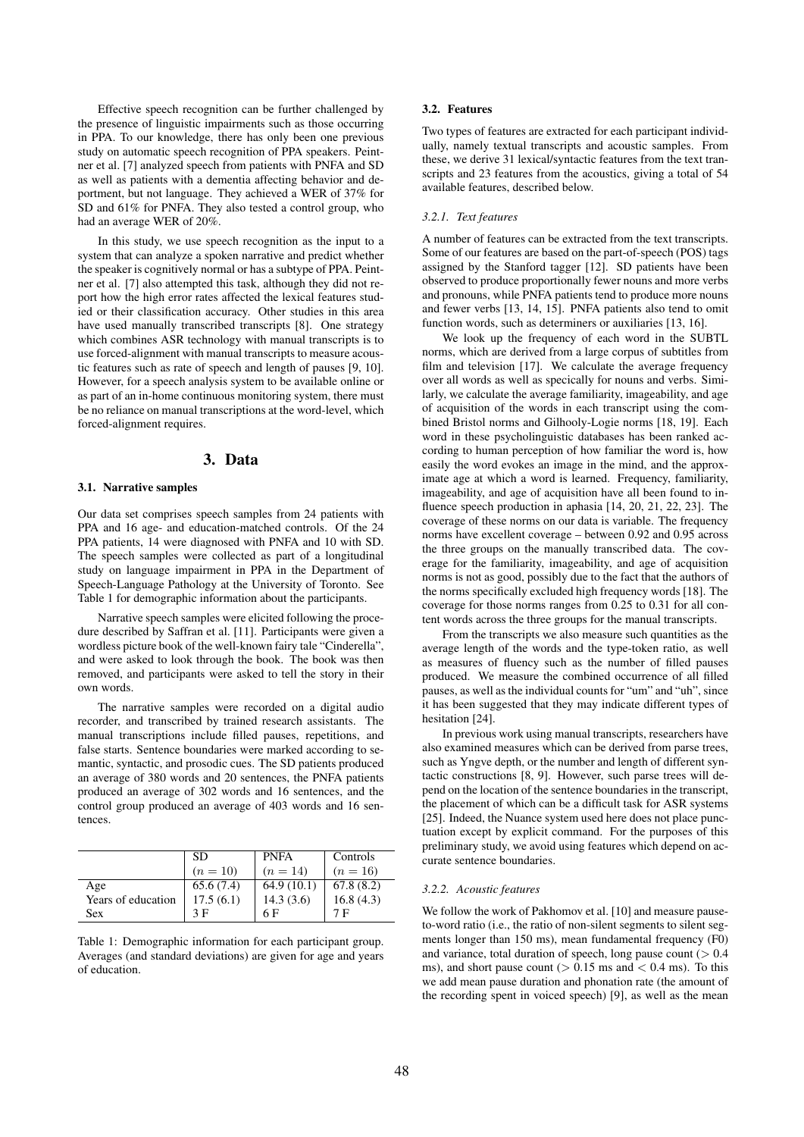Effective speech recognition can be further challenged by the presence of linguistic impairments such as those occurring in PPA. To our knowledge, there has only been one previous study on automatic speech recognition of PPA speakers. Peintner et al. [7] analyzed speech from patients with PNFA and SD as well as patients with a dementia affecting behavior and deportment, but not language. They achieved a WER of 37% for SD and 61% for PNFA. They also tested a control group, who had an average WER of 20%.

In this study, we use speech recognition as the input to a system that can analyze a spoken narrative and predict whether the speaker is cognitively normal or has a subtype of PPA. Peintner et al. [7] also attempted this task, although they did not report how the high error rates affected the lexical features studied or their classification accuracy. Other studies in this area have used manually transcribed transcripts [8]. One strategy which combines ASR technology with manual transcripts is to use forced-alignment with manual transcripts to measure acoustic features such as rate of speech and length of pauses [9, 10]. However, for a speech analysis system to be available online or as part of an in-home continuous monitoring system, there must be no reliance on manual transcriptions at the word-level, which forced-alignment requires.

# 3. Data

#### 3.1. Narrative samples

Our data set comprises speech samples from 24 patients with PPA and 16 age- and education-matched controls. Of the 24 PPA patients, 14 were diagnosed with PNFA and 10 with SD. The speech samples were collected as part of a longitudinal study on language impairment in PPA in the Department of Speech-Language Pathology at the University of Toronto. See Table 1 for demographic information about the participants.

Narrative speech samples were elicited following the procedure described by Saffran et al. [11]. Participants were given a wordless picture book of the well-known fairy tale "Cinderella", and were asked to look through the book. The book was then removed, and participants were asked to tell the story in their own words.

The narrative samples were recorded on a digital audio recorder, and transcribed by trained research assistants. The manual transcriptions include filled pauses, repetitions, and false starts. Sentence boundaries were marked according to semantic, syntactic, and prosodic cues. The SD patients produced an average of 380 words and 20 sentences, the PNFA patients produced an average of 302 words and 16 sentences, and the control group produced an average of 403 words and 16 sentences.

|                    | -SD       | <b>PNFA</b> | Controls  |
|--------------------|-----------|-------------|-----------|
|                    | $(n=10)$  | $(n=14)$    | $(n=16)$  |
| Age                | 65.6(7.4) | 64.9(10.1)  | 67.8(8.2) |
| Years of education | 17.5(6.1) | 14.3(3.6)   | 16.8(4.3) |
| Sex                | 3 F       | 6 F         | 7 F       |

Table 1: Demographic information for each participant group. Averages (and standard deviations) are given for age and years of education.

#### 3.2. Features

Two types of features are extracted for each participant individually, namely textual transcripts and acoustic samples. From these, we derive 31 lexical/syntactic features from the text transcripts and 23 features from the acoustics, giving a total of 54 available features, described below.

#### *3.2.1. Text features*

A number of features can be extracted from the text transcripts. Some of our features are based on the part-of-speech (POS) tags assigned by the Stanford tagger [12]. SD patients have been observed to produce proportionally fewer nouns and more verbs and pronouns, while PNFA patients tend to produce more nouns and fewer verbs [13, 14, 15]. PNFA patients also tend to omit function words, such as determiners or auxiliaries [13, 16].

We look up the frequency of each word in the SUBTL norms, which are derived from a large corpus of subtitles from film and television [17]. We calculate the average frequency over all words as well as specically for nouns and verbs. Similarly, we calculate the average familiarity, imageability, and age of acquisition of the words in each transcript using the combined Bristol norms and Gilhooly-Logie norms [18, 19]. Each word in these psycholinguistic databases has been ranked according to human perception of how familiar the word is, how easily the word evokes an image in the mind, and the approximate age at which a word is learned. Frequency, familiarity, imageability, and age of acquisition have all been found to influence speech production in aphasia [14, 20, 21, 22, 23]. The coverage of these norms on our data is variable. The frequency norms have excellent coverage – between 0.92 and 0.95 across the three groups on the manually transcribed data. The coverage for the familiarity, imageability, and age of acquisition norms is not as good, possibly due to the fact that the authors of the norms specifically excluded high frequency words [18]. The coverage for those norms ranges from 0.25 to 0.31 for all content words across the three groups for the manual transcripts.

From the transcripts we also measure such quantities as the average length of the words and the type-token ratio, as well as measures of fluency such as the number of filled pauses produced. We measure the combined occurrence of all filled pauses, as well as the individual counts for "um" and "uh", since it has been suggested that they may indicate different types of hesitation [24].

In previous work using manual transcripts, researchers have also examined measures which can be derived from parse trees, such as Yngve depth, or the number and length of different syntactic constructions [8, 9]. However, such parse trees will depend on the location of the sentence boundaries in the transcript, the placement of which can be a difficult task for ASR systems [25]. Indeed, the Nuance system used here does not place punctuation except by explicit command. For the purposes of this preliminary study, we avoid using features which depend on accurate sentence boundaries.

#### *3.2.2. Acoustic features*

We follow the work of Pakhomov et al. [10] and measure pauseto-word ratio (i.e., the ratio of non-silent segments to silent segments longer than 150 ms), mean fundamental frequency (F0) and variance, total duration of speech, long pause count  $(> 0.4)$ ms), and short pause count ( $> 0.15$  ms and  $< 0.4$  ms). To this we add mean pause duration and phonation rate (the amount of the recording spent in voiced speech) [9], as well as the mean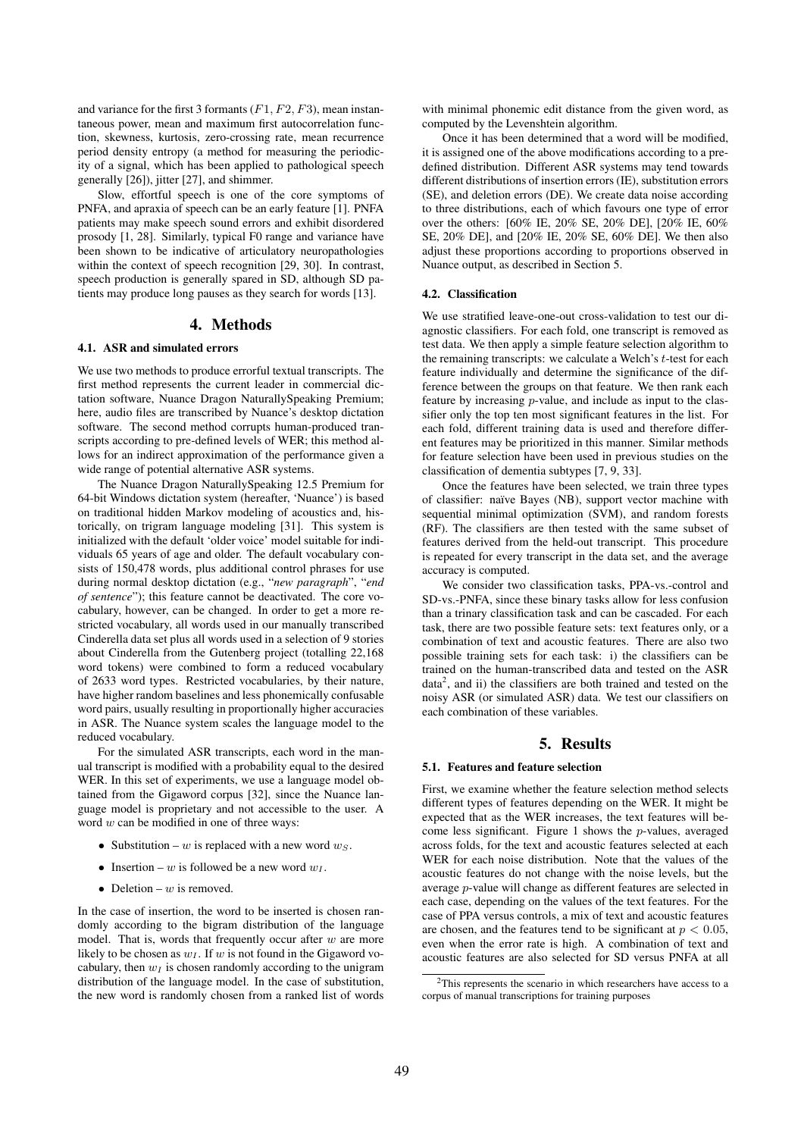and variance for the first 3 formants  $(F1, F2, F3)$ , mean instantaneous power, mean and maximum first autocorrelation function, skewness, kurtosis, zero-crossing rate, mean recurrence period density entropy (a method for measuring the periodicity of a signal, which has been applied to pathological speech generally [26]), jitter [27], and shimmer.

Slow, effortful speech is one of the core symptoms of PNFA, and apraxia of speech can be an early feature [1]. PNFA patients may make speech sound errors and exhibit disordered prosody [1, 28]. Similarly, typical F0 range and variance have been shown to be indicative of articulatory neuropathologies within the context of speech recognition [29, 30]. In contrast, speech production is generally spared in SD, although SD patients may produce long pauses as they search for words [13].

#### 4. Methods

#### 4.1. ASR and simulated errors

We use two methods to produce errorful textual transcripts. The first method represents the current leader in commercial dictation software, Nuance Dragon NaturallySpeaking Premium; here, audio files are transcribed by Nuance's desktop dictation software. The second method corrupts human-produced transcripts according to pre-defined levels of WER; this method allows for an indirect approximation of the performance given a wide range of potential alternative ASR systems.

The Nuance Dragon NaturallySpeaking 12.5 Premium for 64-bit Windows dictation system (hereafter, 'Nuance') is based on traditional hidden Markov modeling of acoustics and, historically, on trigram language modeling [31]. This system is initialized with the default 'older voice' model suitable for individuals 65 years of age and older. The default vocabulary consists of 150,478 words, plus additional control phrases for use during normal desktop dictation (e.g., "*new paragraph*", "*end of sentence*"); this feature cannot be deactivated. The core vocabulary, however, can be changed. In order to get a more restricted vocabulary, all words used in our manually transcribed Cinderella data set plus all words used in a selection of 9 stories about Cinderella from the Gutenberg project (totalling 22,168 word tokens) were combined to form a reduced vocabulary of 2633 word types. Restricted vocabularies, by their nature, have higher random baselines and less phonemically confusable word pairs, usually resulting in proportionally higher accuracies in ASR. The Nuance system scales the language model to the reduced vocabulary.

For the simulated ASR transcripts, each word in the manual transcript is modified with a probability equal to the desired WER. In this set of experiments, we use a language model obtained from the Gigaword corpus [32], since the Nuance language model is proprietary and not accessible to the user. A word  $w$  can be modified in one of three ways:

- Substitution w is replaced with a new word  $w_s$ .
- Insertion w is followed be a new word  $w_1$ .
- Deletion  $w$  is removed.

In the case of insertion, the word to be inserted is chosen randomly according to the bigram distribution of the language model. That is, words that frequently occur after  $w$  are more likely to be chosen as  $w_I$ . If w is not found in the Gigaword vocabulary, then  $w_I$  is chosen randomly according to the unigram distribution of the language model. In the case of substitution, the new word is randomly chosen from a ranked list of words

with minimal phonemic edit distance from the given word, as computed by the Levenshtein algorithm.

Once it has been determined that a word will be modified, it is assigned one of the above modifications according to a predefined distribution. Different ASR systems may tend towards different distributions of insertion errors (IE), substitution errors (SE), and deletion errors (DE). We create data noise according to three distributions, each of which favours one type of error over the others: [60% IE, 20% SE, 20% DE], [20% IE, 60% SE, 20% DE], and [20% IE, 20% SE, 60% DE]. We then also adjust these proportions according to proportions observed in Nuance output, as described in Section 5.

#### 4.2. Classification

We use stratified leave-one-out cross-validation to test our diagnostic classifiers. For each fold, one transcript is removed as test data. We then apply a simple feature selection algorithm to the remaining transcripts: we calculate a Welch's  $t$ -test for each feature individually and determine the significance of the difference between the groups on that feature. We then rank each feature by increasing p-value, and include as input to the classifier only the top ten most significant features in the list. For each fold, different training data is used and therefore different features may be prioritized in this manner. Similar methods for feature selection have been used in previous studies on the classification of dementia subtypes [7, 9, 33].

Once the features have been selected, we train three types of classifier: naïve Bayes (NB), support vector machine with sequential minimal optimization (SVM), and random forests (RF). The classifiers are then tested with the same subset of features derived from the held-out transcript. This procedure is repeated for every transcript in the data set, and the average accuracy is computed.

We consider two classification tasks, PPA-vs.-control and SD-vs.-PNFA, since these binary tasks allow for less confusion than a trinary classification task and can be cascaded. For each task, there are two possible feature sets: text features only, or a combination of text and acoustic features. There are also two possible training sets for each task: i) the classifiers can be trained on the human-transcribed data and tested on the ASR data<sup>2</sup>, and ii) the classifiers are both trained and tested on the noisy ASR (or simulated ASR) data. We test our classifiers on each combination of these variables.

# 5. Results

#### 5.1. Features and feature selection

First, we examine whether the feature selection method selects different types of features depending on the WER. It might be expected that as the WER increases, the text features will become less significant. Figure 1 shows the  $p$ -values, averaged across folds, for the text and acoustic features selected at each WER for each noise distribution. Note that the values of the acoustic features do not change with the noise levels, but the average p-value will change as different features are selected in each case, depending on the values of the text features. For the case of PPA versus controls, a mix of text and acoustic features are chosen, and the features tend to be significant at  $p < 0.05$ , even when the error rate is high. A combination of text and acoustic features are also selected for SD versus PNFA at all

<sup>2</sup>This represents the scenario in which researchers have access to a corpus of manual transcriptions for training purposes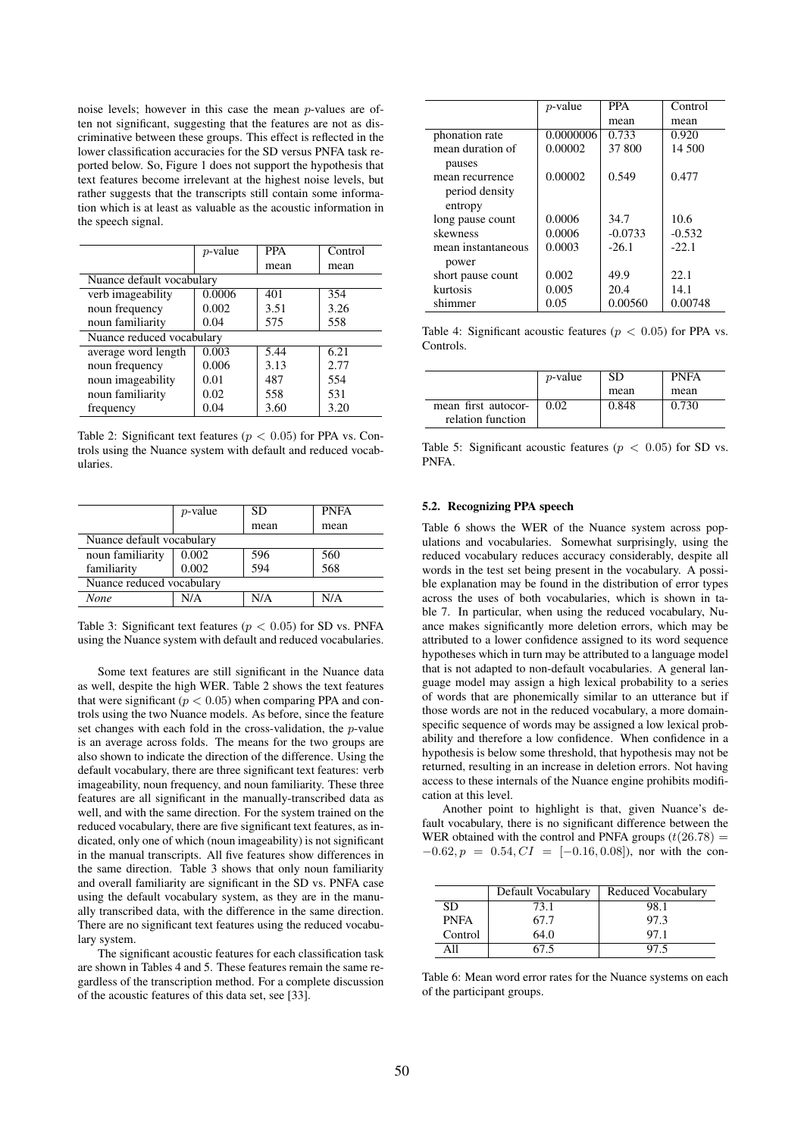noise levels; however in this case the mean p-values are often not significant, suggesting that the features are not as discriminative between these groups. This effect is reflected in the lower classification accuracies for the SD versus PNFA task reported below. So, Figure 1 does not support the hypothesis that text features become irrelevant at the highest noise levels, but rather suggests that the transcripts still contain some information which is at least as valuable as the acoustic information in the speech signal.

|                           | $p$ -value | <b>PPA</b> | Control |
|---------------------------|------------|------------|---------|
|                           |            | mean       | mean    |
| Nuance default vocabulary |            |            |         |
| verb imageability         | 0.0006     | 401        | 354     |
| noun frequency            | 0.002      | 3.51       | 3.26    |
| noun familiarity          | 0.04       | 575        | 558     |
| Nuance reduced vocabulary |            |            |         |
| average word length       | 0.003      | 5.44       | 6.21    |
| noun frequency            | 0.006      | 3.13       | 2.77    |
| noun imageability         | 0.01       | 487        | 554     |
| noun familiarity          | 0.02       | 558        | 531     |
| frequency                 | 0.04       | 3.60       | 3.20    |

Table 2: Significant text features ( $p < 0.05$ ) for PPA vs. Controls using the Nuance system with default and reduced vocabularies.

|                           | $p$ -value | SD   | <b>PNFA</b> |
|---------------------------|------------|------|-------------|
|                           |            | mean | mean        |
| Nuance default vocabulary |            |      |             |
| noun familiarity          | 0.002      | 596  | 560         |
| familiarity               | 0.002      | 594  | 568         |
| Nuance reduced vocabulary |            |      |             |
| None                      | N/A        | N/A  | N/A         |

Table 3: Significant text features ( $p < 0.05$ ) for SD vs. PNFA using the Nuance system with default and reduced vocabularies.

Some text features are still significant in the Nuance data as well, despite the high WER. Table 2 shows the text features that were significant ( $p < 0.05$ ) when comparing PPA and controls using the two Nuance models. As before, since the feature set changes with each fold in the cross-validation, the p-value is an average across folds. The means for the two groups are also shown to indicate the direction of the difference. Using the default vocabulary, there are three significant text features: verb imageability, noun frequency, and noun familiarity. These three features are all significant in the manually-transcribed data as well, and with the same direction. For the system trained on the reduced vocabulary, there are five significant text features, as indicated, only one of which (noun imageability) is not significant in the manual transcripts. All five features show differences in the same direction. Table 3 shows that only noun familiarity and overall familiarity are significant in the SD vs. PNFA case using the default vocabulary system, as they are in the manually transcribed data, with the difference in the same direction. There are no significant text features using the reduced vocabulary system.

The significant acoustic features for each classification task are shown in Tables 4 and 5. These features remain the same regardless of the transcription method. For a complete discussion of the acoustic features of this data set, see [33].

|                    | <i>p</i> -value | <b>PPA</b> | Control  |
|--------------------|-----------------|------------|----------|
|                    |                 | mean       | mean     |
| phonation rate     | 0.0000006       | 0.733      | 0.920    |
| mean duration of   | 0.00002         | 37 800     | 14 500   |
| pauses             |                 |            |          |
| mean recurrence    | 0.00002         | 0.549      | 0.477    |
| period density     |                 |            |          |
| entropy            |                 |            |          |
| long pause count   | 0.0006          | 34.7       | 10.6     |
| skewness           | 0.0006          | $-0.0733$  | $-0.532$ |
| mean instantaneous | 0.0003          | $-26.1$    | $-22.1$  |
| power              |                 |            |          |
| short pause count  | 0.002           | 49.9       | 22.1     |
| kurtosis           | 0.005           | 20.4       | 14.1     |
| shimmer            | 0.05            | 0.00560    | 0.00748  |

Table 4: Significant acoustic features ( $p < 0.05$ ) for PPA vs. Controls.

|                                          | <i>p</i> -value | -SD   | <b>PNFA</b> |
|------------------------------------------|-----------------|-------|-------------|
|                                          |                 | mean  | mean        |
| mean first autocor-<br>relation function | 0.02            | 0.848 | 0.730       |

Table 5: Significant acoustic features ( $p < 0.05$ ) for SD vs. PNFA.

#### 5.2. Recognizing PPA speech

Table 6 shows the WER of the Nuance system across populations and vocabularies. Somewhat surprisingly, using the reduced vocabulary reduces accuracy considerably, despite all words in the test set being present in the vocabulary. A possible explanation may be found in the distribution of error types across the uses of both vocabularies, which is shown in table 7. In particular, when using the reduced vocabulary, Nuance makes significantly more deletion errors, which may be attributed to a lower confidence assigned to its word sequence hypotheses which in turn may be attributed to a language model that is not adapted to non-default vocabularies. A general language model may assign a high lexical probability to a series of words that are phonemically similar to an utterance but if those words are not in the reduced vocabulary, a more domainspecific sequence of words may be assigned a low lexical probability and therefore a low confidence. When confidence in a hypothesis is below some threshold, that hypothesis may not be returned, resulting in an increase in deletion errors. Not having access to these internals of the Nuance engine prohibits modification at this level.

Another point to highlight is that, given Nuance's default vocabulary, there is no significant difference between the WER obtained with the control and PNFA groups  $(t(26.78)$  =  $-0.62, p = 0.54, CI = [-0.16, 0.08]$ , nor with the con-

|             | Default Vocabulary | Reduced Vocabulary |
|-------------|--------------------|--------------------|
| SD.         | 73.1               | 98.1               |
| <b>PNFA</b> | 67.7               | 97.3               |
| Control     | 64.0               | 97.1               |
|             | 67.5               | 97.5               |

Table 6: Mean word error rates for the Nuance systems on each of the participant groups.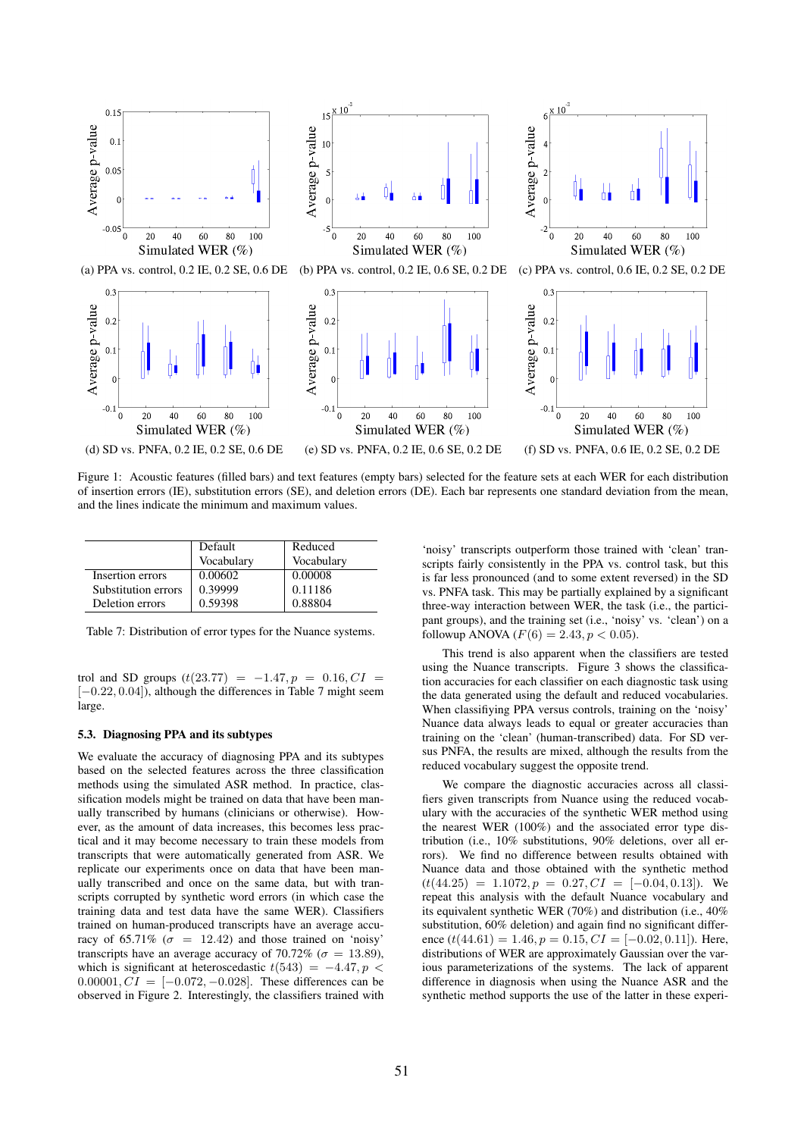

Figure 1: Acoustic features (filled bars) and text features (empty bars) selected for the feature sets at each WER for each distribution of insertion errors (IE), substitution errors (SE), and deletion errors (DE). Each bar represents one standard deviation from the mean, and the lines indicate the minimum and maximum values.

|                     | Default    | Reduced    |
|---------------------|------------|------------|
|                     | Vocabulary | Vocabulary |
| Insertion errors    | 0.00602    | 0.00008    |
| Substitution errors | 0.39999    | 0.11186    |
| Deletion errors     | 0.59398    | 0.88804    |

Table 7: Distribution of error types for the Nuance systems.

trol and SD groups  $(t(23.77) = -1.47, p = 0.16, CI =$ [-0.22, 0.04]), although the differences in Table 7 might seem large.

#### 5.3. Diagnosing PPA and its subtypes

We evaluate the accuracy of diagnosing PPA and its subtypes based on the selected features across the three classification methods using the simulated ASR method. In practice, classification models might be trained on data that have been manually transcribed by humans (clinicians or otherwise). However, as the amount of data increases, this becomes less practical and it may become necessary to train these models from transcripts that were automatically generated from ASR. We replicate our experiments once on data that have been manually transcribed and once on the same data, but with transcripts corrupted by synthetic word errors (in which case the training data and test data have the same WER). Classifiers trained on human-produced transcripts have an average accuracy of 65.71% ( $\sigma = 12.42$ ) and those trained on 'noisy' transcripts have an average accuracy of 70.72% ( $\sigma = 13.89$ ), which is significant at heteroscedastic  $t(543) = -4.47, p <$ 0.00001,  $CI = [-0.072, -0.028]$ . These differences can be observed in Figure 2. Interestingly, the classifiers trained with

'noisy' transcripts outperform those trained with 'clean' transcripts fairly consistently in the PPA vs. control task, but this is far less pronounced (and to some extent reversed) in the SD vs. PNFA task. This may be partially explained by a significant three-way interaction between WER, the task (i.e., the participant groups), and the training set (i.e., 'noisy' vs. 'clean') on a followup ANOVA  $(F(6) = 2.43, p < 0.05)$ .

This trend is also apparent when the classifiers are tested using the Nuance transcripts. Figure 3 shows the classification accuracies for each classifier on each diagnostic task using the data generated using the default and reduced vocabularies. When classifiying PPA versus controls, training on the 'noisy' Nuance data always leads to equal or greater accuracies than training on the 'clean' (human-transcribed) data. For SD versus PNFA, the results are mixed, although the results from the reduced vocabulary suggest the opposite trend.

We compare the diagnostic accuracies across all classifiers given transcripts from Nuance using the reduced vocabulary with the accuracies of the synthetic WER method using the nearest WER (100%) and the associated error type distribution (i.e., 10% substitutions, 90% deletions, over all errors). We find no difference between results obtained with Nuance data and those obtained with the synthetic method  $(t(44.25) = 1.1072, p = 0.27, CI = [-0.04, 0.13]$ . We repeat this analysis with the default Nuance vocabulary and its equivalent synthetic WER (70%) and distribution (i.e., 40% substitution, 60% deletion) and again find no significant difference  $(t(44.61) = 1.46, p = 0.15, CI = [-0.02, 0.11]$ . Here, distributions of WER are approximately Gaussian over the various parameterizations of the systems. The lack of apparent difference in diagnosis when using the Nuance ASR and the synthetic method supports the use of the latter in these experi-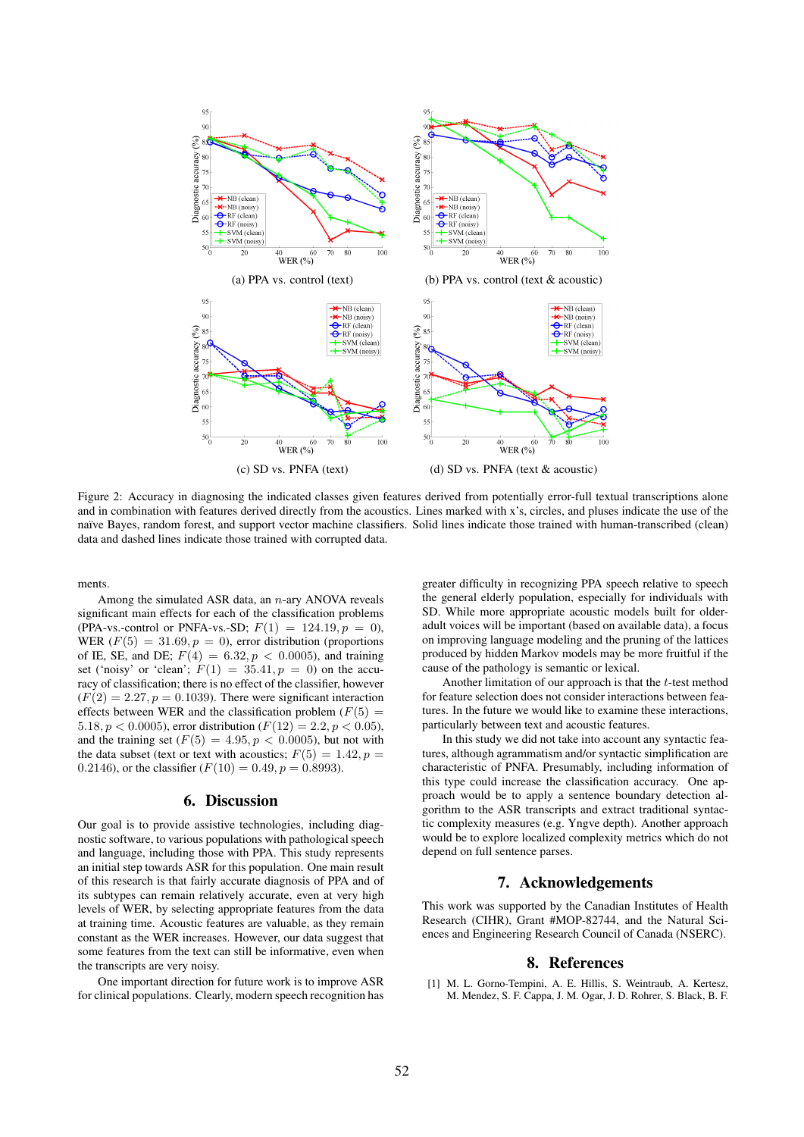

Figure 2: Accuracy in diagnosing the indicated classes given features derived from potentially error-full textual transcriptions alone and in combination with features derived directly from the acoustics. Lines marked with x's, circles, and pluses indicate the use of the naïve Bayes, random forest, and support vector machine classifiers. Solid lines indicate those trained with human-transcribed (clean) data and dashed lines indicate those trained with corrupted data.

ments.

Among the simulated ASR data, an  $n$ -ary ANOVA reveals significant main effects for each of the classification problems (PPA-vs.-control or PNFA-vs.-SD;  $F(1) = 124.19, p = 0$ ), WER  $(F(5) = 31.69, p = 0)$ , error distribution (proportions) of IE, SE, and DE;  $F(4) = 6.32, p < 0.0005$ , and training set ('noisy' or 'clean';  $F(1) = 35.41, p = 0$ ) on the accuracy of classification; there is no effect of the classifier, however  $(F(2) = 2.27, p = 0.1039)$ . There were significant interaction effects between WER and the classification problem  $(F(5) =$ 5.18,  $p < 0.0005$ ), error distribution ( $F(12) = 2.2, p < 0.05$ ), and the training set  $(F(5) = 4.95, p < 0.0005)$ , but not with the data subset (text or text with acoustics;  $F(5) = 1.42$ ,  $p =$ 0.2146), or the classifier  $(F(10) = 0.49, p = 0.8993)$ .

# 6. Discussion

Our goal is to provide assistive technologies, including diagnostic software, to various populations with pathological speech and language, including those with PPA. This study represents an initial step towards ASR for this population. One main result of this research is that fairly accurate diagnosis of PPA and of its subtypes can remain relatively accurate, even at very high levels of WER, by selecting appropriate features from the data at training time. Acoustic features are valuable, as they remain constant as the WER increases. However, our data suggest that some features from the text can still be informative, even when the transcripts are very noisy.

One important direction for future work is to improve ASR for clinical populations. Clearly, modern speech recognition has

greater difficulty in recognizing PPA speech relative to speech the general elderly population, especially for individuals with SD. While more appropriate acoustic models built for olderadult voices will be important (based on available data), a focus on improving language modeling and the pruning of the lattices produced by hidden Markov models may be more fruitful if the cause of the pathology is semantic or lexical.

Another limitation of our approach is that the t-test method for feature selection does not consider interactions between features. In the future we would like to examine these interactions, particularly between text and acoustic features.

In this study we did not take into account any syntactic features, although agrammatism and/or syntactic simplification are characteristic of PNFA. Presumably, including information of this type could increase the classification accuracy. One approach would be to apply a sentence boundary detection algorithm to the ASR transcripts and extract traditional syntactic complexity measures (e.g. Yngve depth). Another approach would be to explore localized complexity metrics which do not depend on full sentence parses.

# 7. Acknowledgements

This work was supported by the Canadian Institutes of Health Research (CIHR), Grant #MOP-82744, and the Natural Sciences and Engineering Research Council of Canada (NSERC).

#### 8. References

[1] M. L. Gorno-Tempini, A. E. Hillis, S. Weintraub, A. Kertesz, M. Mendez, S. F. Cappa, J. M. Ogar, J. D. Rohrer, S. Black, B. F.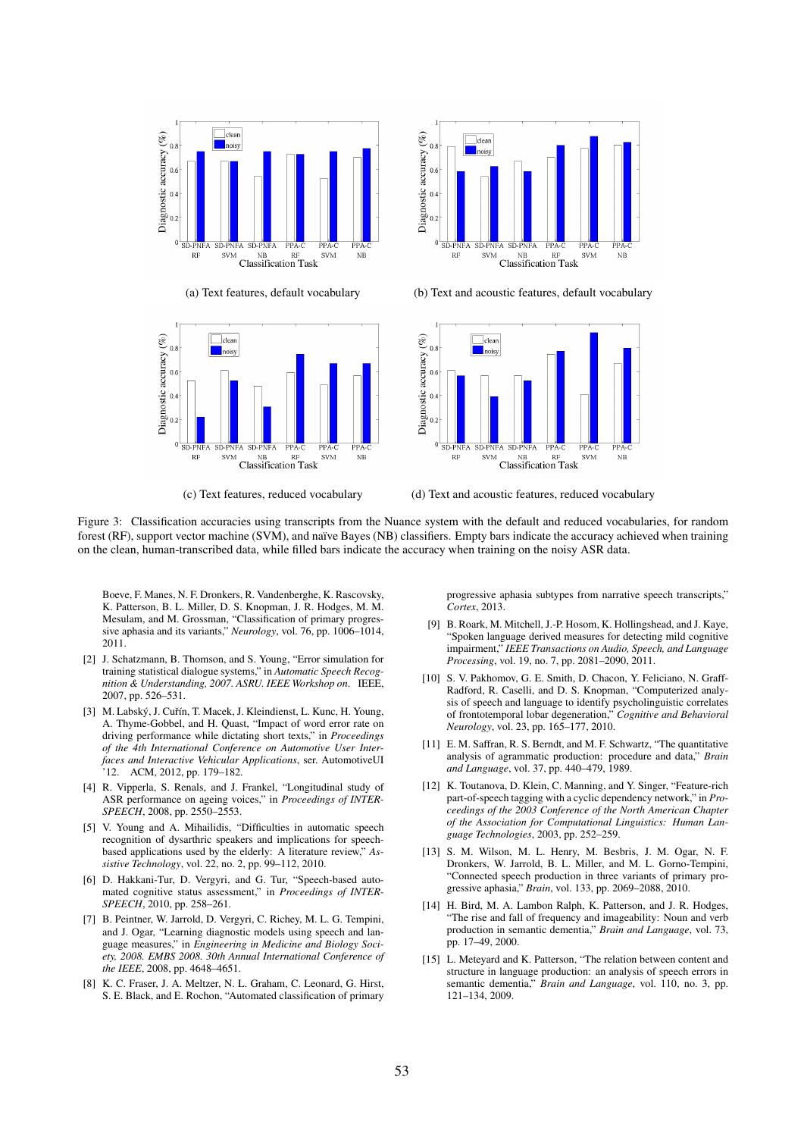





(a) Text features, default vocabulary (b) Text and acoustic features, default vocabulary



(c) Text features, reduced vocabulary (d) Text and acoustic features, reduced vocabulary

Figure 3: Classification accuracies using transcripts from the Nuance system with the default and reduced vocabularies, for random forest (RF), support vector machine (SVM), and naïve Bayes (NB) classifiers. Empty bars indicate the accuracy achieved when training on the clean, human-transcribed data, while filled bars indicate the accuracy when training on the noisy ASR data.

Boeve, F. Manes, N. F. Dronkers, R. Vandenberghe, K. Rascovsky, K. Patterson, B. L. Miller, D. S. Knopman, J. R. Hodges, M. M. Mesulam, and M. Grossman, "Classification of primary progressive aphasia and its variants," *Neurology*, vol. 76, pp. 1006–1014, 2011.

- [2] J. Schatzmann, B. Thomson, and S. Young, "Error simulation for training statistical dialogue systems," in *Automatic Speech Recognition & Understanding, 2007. ASRU. IEEE Workshop on*. IEEE, 2007, pp. 526–531.
- [3] M. Labský, J. Cuřín, T. Macek, J. Kleindienst, L. Kunc, H. Young, A. Thyme-Gobbel, and H. Quast, "Impact of word error rate on driving performance while dictating short texts," in *Proceedings of the 4th International Conference on Automotive User Interfaces and Interactive Vehicular Applications*, ser. AutomotiveUI '12. ACM, 2012, pp. 179–182.
- [4] R. Vipperla, S. Renals, and J. Frankel, "Longitudinal study of ASR performance on ageing voices," in *Proceedings of INTER-SPEECH*, 2008, pp. 2550–2553.
- [5] V. Young and A. Mihailidis, "Difficulties in automatic speech recognition of dysarthric speakers and implications for speechbased applications used by the elderly: A literature review," *Assistive Technology*, vol. 22, no. 2, pp. 99–112, 2010.
- [6] D. Hakkani-Tur, D. Vergyri, and G. Tur, "Speech-based automated cognitive status assessment," in *Proceedings of INTER-SPEECH*, 2010, pp. 258–261.
- [7] B. Peintner, W. Jarrold, D. Vergyri, C. Richey, M. L. G. Tempini, and J. Ogar, "Learning diagnostic models using speech and language measures," in *Engineering in Medicine and Biology Society, 2008. EMBS 2008. 30th Annual International Conference of the IEEE*, 2008, pp. 4648–4651.
- [8] K. C. Fraser, J. A. Meltzer, N. L. Graham, C. Leonard, G. Hirst, S. E. Black, and E. Rochon, "Automated classification of primary

progressive aphasia subtypes from narrative speech transcripts," *Cortex*, 2013.

- [9] B. Roark, M. Mitchell, J.-P. Hosom, K. Hollingshead, and J. Kaye, "Spoken language derived measures for detecting mild cognitive impairment," *IEEE Transactions on Audio, Speech, and Language Processing*, vol. 19, no. 7, pp. 2081–2090, 2011.
- [10] S. V. Pakhomov, G. E. Smith, D. Chacon, Y. Feliciano, N. Graff-Radford, R. Caselli, and D. S. Knopman, "Computerized analysis of speech and language to identify psycholinguistic correlates of frontotemporal lobar degeneration," *Cognitive and Behavioral Neurology*, vol. 23, pp. 165–177, 2010.
- [11] E. M. Saffran, R. S. Berndt, and M. F. Schwartz, "The quantitative analysis of agrammatic production: procedure and data," *Brain and Language*, vol. 37, pp. 440–479, 1989.
- [12] K. Toutanova, D. Klein, C. Manning, and Y. Singer, "Feature-rich part-of-speech tagging with a cyclic dependency network," in *Proceedings of the 2003 Conference of the North American Chapter of the Association for Computational Linguistics: Human Language Technologies*, 2003, pp. 252–259.
- [13] S. M. Wilson, M. L. Henry, M. Besbris, J. M. Ogar, N. F. Dronkers, W. Jarrold, B. L. Miller, and M. L. Gorno-Tempini, "Connected speech production in three variants of primary progressive aphasia," *Brain*, vol. 133, pp. 2069–2088, 2010.
- [14] H. Bird, M. A. Lambon Ralph, K. Patterson, and J. R. Hodges, "The rise and fall of frequency and imageability: Noun and verb production in semantic dementia," *Brain and Language*, vol. 73, pp. 17–49, 2000.
- [15] L. Metevard and K. Patterson, "The relation between content and structure in language production: an analysis of speech errors in semantic dementia," *Brain and Language*, vol. 110, no. 3, pp. 121–134, 2009.